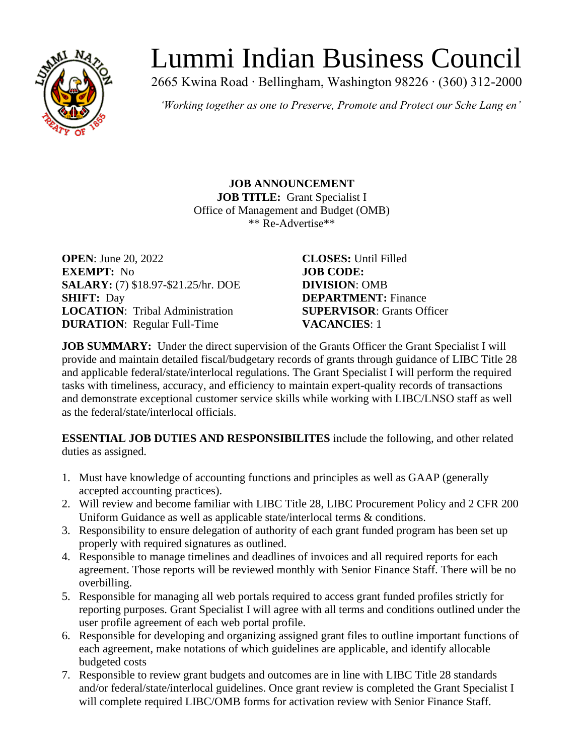

# Lummi Indian Business Council

2665 Kwina Road ∙ Bellingham, Washington 98226 ∙ (360) 312-2000

*'Working together as one to Preserve, Promote and Protect our Sche Lang en'*

**JOB ANNOUNCEMENT JOB TITLE:** Grant Specialist I Office of Management and Budget (OMB) \*\* Re-Advertise\*\*

**OPEN**: June 20, 2022 **CLOSES:** Until Filled **EXEMPT:** No **JOB CODE: SALARY:** (7) \$18.97-\$21.25/hr. DOE **DIVISION**: OMB **SHIFT:** Day **DEPARTMENT:** Finance **LOCATION**: Tribal Administration **SUPERVISOR**: Grants Officer **DURATION**: Regular Full-Time **VACANCIES**: 1

**JOB SUMMARY:** Under the direct supervision of the Grants Officer the Grant Specialist I will provide and maintain detailed fiscal/budgetary records of grants through guidance of LIBC Title 28 and applicable federal/state/interlocal regulations. The Grant Specialist I will perform the required tasks with timeliness, accuracy, and efficiency to maintain expert-quality records of transactions and demonstrate exceptional customer service skills while working with LIBC/LNSO staff as well as the federal/state/interlocal officials.

**ESSENTIAL JOB DUTIES AND RESPONSIBILITES** include the following, and other related duties as assigned.

- 1. Must have knowledge of accounting functions and principles as well as GAAP (generally accepted accounting practices).
- 2. Will review and become familiar with LIBC Title 28, LIBC Procurement Policy and 2 CFR 200 Uniform Guidance as well as applicable state/interlocal terms  $\&$  conditions.
- 3. Responsibility to ensure delegation of authority of each grant funded program has been set up properly with required signatures as outlined.
- 4. Responsible to manage timelines and deadlines of invoices and all required reports for each agreement. Those reports will be reviewed monthly with Senior Finance Staff. There will be no overbilling.
- 5. Responsible for managing all web portals required to access grant funded profiles strictly for reporting purposes. Grant Specialist I will agree with all terms and conditions outlined under the user profile agreement of each web portal profile.
- 6. Responsible for developing and organizing assigned grant files to outline important functions of each agreement, make notations of which guidelines are applicable, and identify allocable budgeted costs
- 7. Responsible to review grant budgets and outcomes are in line with LIBC Title 28 standards and/or federal/state/interlocal guidelines. Once grant review is completed the Grant Specialist I will complete required LIBC/OMB forms for activation review with Senior Finance Staff.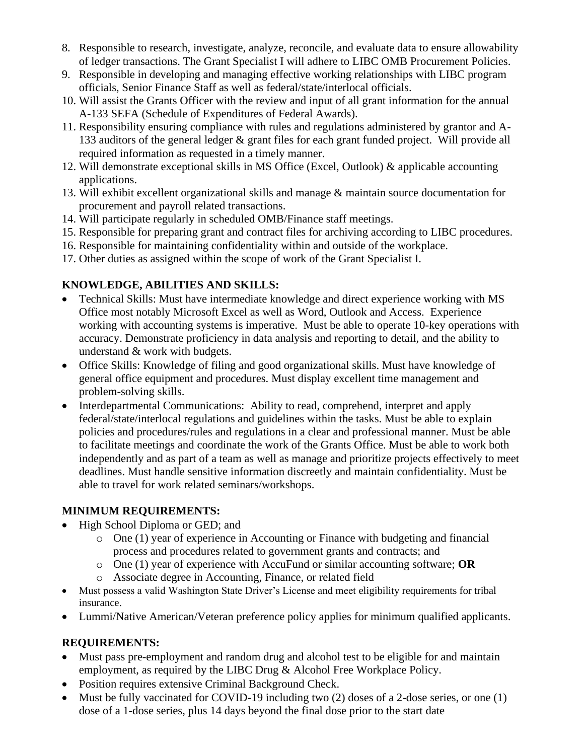- 8. Responsible to research, investigate, analyze, reconcile, and evaluate data to ensure allowability of ledger transactions. The Grant Specialist I will adhere to LIBC OMB Procurement Policies.
- 9. Responsible in developing and managing effective working relationships with LIBC program officials, Senior Finance Staff as well as federal/state/interlocal officials.
- 10. Will assist the Grants Officer with the review and input of all grant information for the annual A-133 SEFA (Schedule of Expenditures of Federal Awards).
- 11. Responsibility ensuring compliance with rules and regulations administered by grantor and A-133 auditors of the general ledger & grant files for each grant funded project. Will provide all required information as requested in a timely manner.
- 12. Will demonstrate exceptional skills in MS Office (Excel, Outlook) & applicable accounting applications.
- 13. Will exhibit excellent organizational skills and manage & maintain source documentation for procurement and payroll related transactions.
- 14. Will participate regularly in scheduled OMB/Finance staff meetings.
- 15. Responsible for preparing grant and contract files for archiving according to LIBC procedures.
- 16. Responsible for maintaining confidentiality within and outside of the workplace.
- 17. Other duties as assigned within the scope of work of the Grant Specialist I.

## **KNOWLEDGE, ABILITIES AND SKILLS:**

- Technical Skills: Must have intermediate knowledge and direct experience working with MS Office most notably Microsoft Excel as well as Word, Outlook and Access. Experience working with accounting systems is imperative. Must be able to operate 10-key operations with accuracy. Demonstrate proficiency in data analysis and reporting to detail, and the ability to understand & work with budgets.
- Office Skills: Knowledge of filing and good organizational skills. Must have knowledge of general office equipment and procedures. Must display excellent time management and problem-solving skills.
- Interdepartmental Communications: Ability to read, comprehend, interpret and apply federal/state/interlocal regulations and guidelines within the tasks. Must be able to explain policies and procedures/rules and regulations in a clear and professional manner. Must be able to facilitate meetings and coordinate the work of the Grants Office. Must be able to work both independently and as part of a team as well as manage and prioritize projects effectively to meet deadlines. Must handle sensitive information discreetly and maintain confidentiality. Must be able to travel for work related seminars/workshops.

## **MINIMUM REQUIREMENTS:**

- High School Diploma or GED; and
	- o One (1) year of experience in Accounting or Finance with budgeting and financial process and procedures related to government grants and contracts; and
	- o One (1) year of experience with AccuFund or similar accounting software; **OR**
	- o Associate degree in Accounting, Finance, or related field
- Must possess a valid Washington State Driver's License and meet eligibility requirements for tribal insurance.
- Lummi/Native American/Veteran preference policy applies for minimum qualified applicants.

## **REQUIREMENTS:**

- Must pass pre-employment and random drug and alcohol test to be eligible for and maintain employment, as required by the LIBC Drug & Alcohol Free Workplace Policy.
- Position requires extensive Criminal Background Check.
- Must be fully vaccinated for COVID-19 including two (2) doses of a 2-dose series, or one (1) dose of a 1-dose series, plus 14 days beyond the final dose prior to the start date